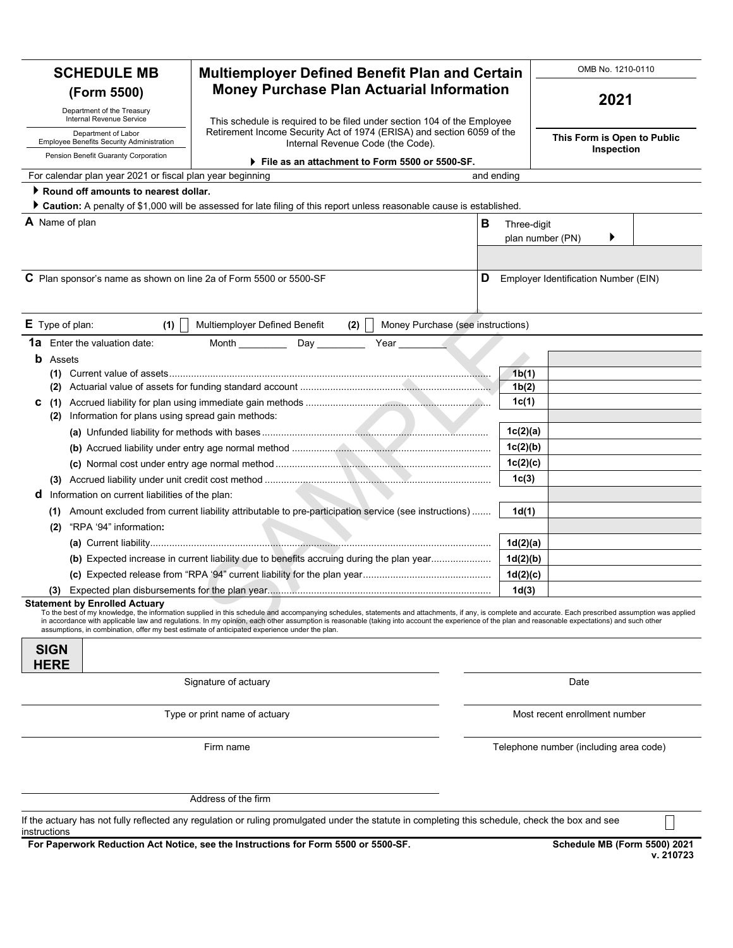| <b>SCHEDULE MB</b>                                                      | <b>Multiemployer Defined Benefit Plan and Certain</b>                                                                                                                                                                                                                                                                                                                                                                                                                                                         |                                   |                                        | OMB No. 1210-0110 |  |  |
|-------------------------------------------------------------------------|---------------------------------------------------------------------------------------------------------------------------------------------------------------------------------------------------------------------------------------------------------------------------------------------------------------------------------------------------------------------------------------------------------------------------------------------------------------------------------------------------------------|-----------------------------------|----------------------------------------|-------------------|--|--|
| (Form 5500)                                                             | <b>Money Purchase Plan Actuarial Information</b>                                                                                                                                                                                                                                                                                                                                                                                                                                                              |                                   |                                        |                   |  |  |
| Department of the Treasury<br>Internal Revenue Service                  | This schedule is required to be filed under section 104 of the Employee                                                                                                                                                                                                                                                                                                                                                                                                                                       |                                   |                                        | 2021              |  |  |
| Department of Labor<br><b>Employee Benefits Security Administration</b> | Retirement Income Security Act of 1974 (ERISA) and section 6059 of the                                                                                                                                                                                                                                                                                                                                                                                                                                        |                                   | This Form is Open to Public            |                   |  |  |
| Pension Benefit Guaranty Corporation                                    | Internal Revenue Code (the Code).                                                                                                                                                                                                                                                                                                                                                                                                                                                                             |                                   | Inspection                             |                   |  |  |
| For calendar plan year 2021 or fiscal plan year beginning               | File as an attachment to Form 5500 or 5500-SF.                                                                                                                                                                                                                                                                                                                                                                                                                                                                | and ending                        |                                        |                   |  |  |
| Round off amounts to nearest dollar.                                    |                                                                                                                                                                                                                                                                                                                                                                                                                                                                                                               |                                   |                                        |                   |  |  |
|                                                                         | Caution: A penalty of \$1,000 will be assessed for late filing of this report unless reasonable cause is established.                                                                                                                                                                                                                                                                                                                                                                                         |                                   |                                        |                   |  |  |
| <b>A</b> Name of plan                                                   |                                                                                                                                                                                                                                                                                                                                                                                                                                                                                                               | в                                 | Three-digit                            |                   |  |  |
|                                                                         |                                                                                                                                                                                                                                                                                                                                                                                                                                                                                                               |                                   | plan number (PN)                       |                   |  |  |
|                                                                         |                                                                                                                                                                                                                                                                                                                                                                                                                                                                                                               |                                   |                                        |                   |  |  |
| C Plan sponsor's name as shown on line 2a of Form 5500 or 5500-SF       |                                                                                                                                                                                                                                                                                                                                                                                                                                                                                                               | D                                 | Employer Identification Number (EIN)   |                   |  |  |
| E Type of plan:<br>(1)                                                  | Multiemployer Defined Benefit<br>(2)                                                                                                                                                                                                                                                                                                                                                                                                                                                                          | Money Purchase (see instructions) |                                        |                   |  |  |
| <b>1a</b> Enter the valuation date:                                     | <b>Month Month</b><br>Day _________<br>Year <u>in the set of</u>                                                                                                                                                                                                                                                                                                                                                                                                                                              |                                   |                                        |                   |  |  |
| <b>b</b> Assets                                                         |                                                                                                                                                                                                                                                                                                                                                                                                                                                                                                               |                                   |                                        |                   |  |  |
| (1)                                                                     |                                                                                                                                                                                                                                                                                                                                                                                                                                                                                                               |                                   | 1b(1)                                  |                   |  |  |
| (2)                                                                     |                                                                                                                                                                                                                                                                                                                                                                                                                                                                                                               |                                   | 1b(2)                                  |                   |  |  |
| (1)<br>С                                                                |                                                                                                                                                                                                                                                                                                                                                                                                                                                                                                               |                                   | 1c(1)                                  |                   |  |  |
| Information for plans using spread gain methods:<br>(2)                 |                                                                                                                                                                                                                                                                                                                                                                                                                                                                                                               |                                   |                                        |                   |  |  |
|                                                                         |                                                                                                                                                                                                                                                                                                                                                                                                                                                                                                               |                                   | 1c(2)(a)                               |                   |  |  |
|                                                                         |                                                                                                                                                                                                                                                                                                                                                                                                                                                                                                               |                                   | 1c(2)(b)                               |                   |  |  |
|                                                                         |                                                                                                                                                                                                                                                                                                                                                                                                                                                                                                               |                                   | 1c(2)(c)                               |                   |  |  |
| (3)                                                                     |                                                                                                                                                                                                                                                                                                                                                                                                                                                                                                               |                                   | 1 <sub>c</sub> (3)                     |                   |  |  |
| Information on current liabilities of the plan:<br>a                    |                                                                                                                                                                                                                                                                                                                                                                                                                                                                                                               |                                   |                                        |                   |  |  |
| (1)<br>"RPA '94" information:                                           | Amount excluded from current liability attributable to pre-participation service (see instructions)                                                                                                                                                                                                                                                                                                                                                                                                           |                                   | 1d(1)                                  |                   |  |  |
| (2)                                                                     |                                                                                                                                                                                                                                                                                                                                                                                                                                                                                                               |                                   |                                        |                   |  |  |
|                                                                         | (b) Expected increase in current liability due to benefits accruing during the plan year                                                                                                                                                                                                                                                                                                                                                                                                                      |                                   | 1d(2)(a)<br>1d(2)(b)                   |                   |  |  |
|                                                                         |                                                                                                                                                                                                                                                                                                                                                                                                                                                                                                               |                                   | 1d(2)(c)                               |                   |  |  |
|                                                                         | (3) Expected plan disbursements for the plan year                                                                                                                                                                                                                                                                                                                                                                                                                                                             |                                   | 1d(3)                                  |                   |  |  |
| <b>Statement by Enrolled Actuary</b>                                    | To the best of my knowledge, the information supplied in this schedule and accompanying schedules, statements and attachments, if any, is complete and accurate. Each prescribed assumption was applied<br>in accordance with applicable law and regulations. In my opinion, each other assumption is reasonable (taking into account the experience of the plan and reasonable expectations) and such other<br>assumptions, in combination, offer my best estimate of anticipated experience under the plan. |                                   |                                        |                   |  |  |
| <b>SIGN</b><br><b>HERE</b>                                              |                                                                                                                                                                                                                                                                                                                                                                                                                                                                                                               |                                   |                                        |                   |  |  |
|                                                                         | Signature of actuary                                                                                                                                                                                                                                                                                                                                                                                                                                                                                          |                                   | Date                                   |                   |  |  |
|                                                                         | Type or print name of actuary                                                                                                                                                                                                                                                                                                                                                                                                                                                                                 |                                   | Most recent enrollment number          |                   |  |  |
|                                                                         | Firm name                                                                                                                                                                                                                                                                                                                                                                                                                                                                                                     |                                   | Telephone number (including area code) |                   |  |  |
|                                                                         | Address of the firm                                                                                                                                                                                                                                                                                                                                                                                                                                                                                           |                                   |                                        |                   |  |  |
|                                                                         | If the actuary has not fully reflected any regulation or ruling promulgated under the statute in completing this schedule, check the box and see                                                                                                                                                                                                                                                                                                                                                              |                                   |                                        |                   |  |  |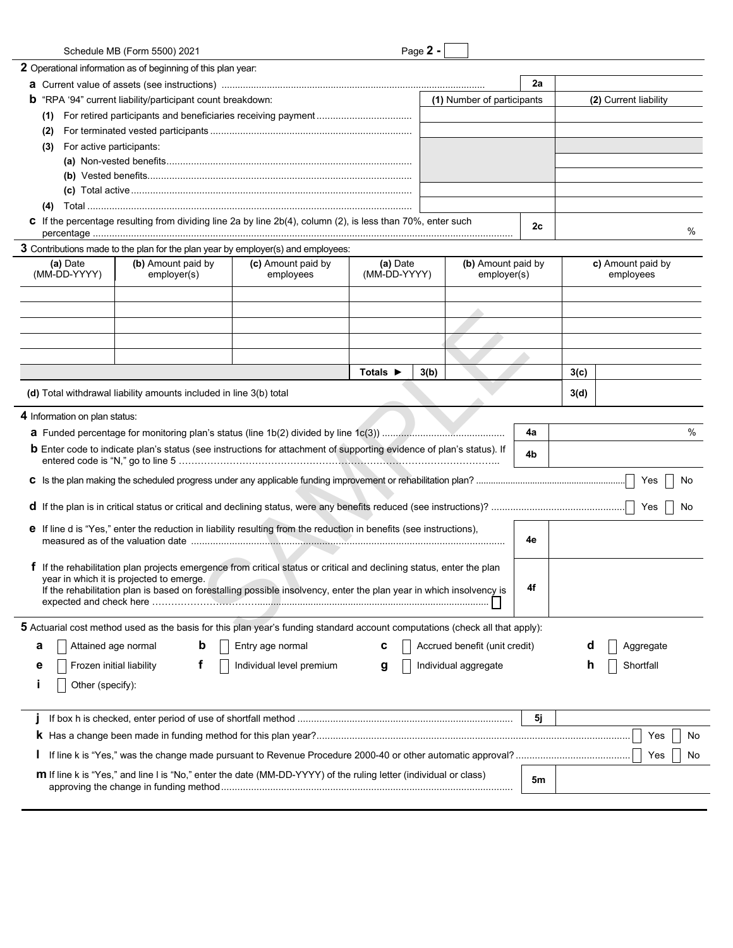| Schedule MB (Form 5500) 2021                                                                                                                                    |                                 |                              | Page 2 - |                                   |    |      |                   |
|-----------------------------------------------------------------------------------------------------------------------------------------------------------------|---------------------------------|------------------------------|----------|-----------------------------------|----|------|-------------------|
| 2 Operational information as of beginning of this plan year:                                                                                                    |                                 |                              |          |                                   |    |      |                   |
|                                                                                                                                                                 |                                 |                              |          |                                   | 2a |      |                   |
| "RPA '94" current liability/participant count breakdown:<br>b                                                                                                   |                                 | (1) Number of participants   |          | (2) Current liability             |    |      |                   |
| (1)                                                                                                                                                             |                                 |                              |          |                                   |    |      |                   |
| (2)                                                                                                                                                             |                                 |                              |          |                                   |    |      |                   |
| For active participants:<br>(3)                                                                                                                                 |                                 |                              |          |                                   |    |      |                   |
|                                                                                                                                                                 |                                 |                              |          |                                   |    |      |                   |
|                                                                                                                                                                 |                                 |                              |          |                                   |    |      |                   |
|                                                                                                                                                                 |                                 |                              |          |                                   |    |      |                   |
| (4)                                                                                                                                                             |                                 |                              |          |                                   |    |      |                   |
| C If the percentage resulting from dividing line 2a by line 2b(4), column (2), is less than 70%, enter such                                                     |                                 |                              |          |                                   |    |      |                   |
|                                                                                                                                                                 |                                 |                              |          |                                   | 2c |      | %                 |
| 3 Contributions made to the plan for the plan year by employer(s) and employees:                                                                                |                                 |                              |          |                                   |    |      |                   |
| (b) Amount paid by<br>(a) Date<br>(MM-DD-YYYY)                                                                                                                  | (c) Amount paid by<br>employees | (a) Date<br>(MM-DD-YYYY)     |          | (b) Amount paid by<br>employer(s) |    |      | c) Amount paid by |
| employer(s)                                                                                                                                                     |                                 |                              |          |                                   |    |      | employees         |
|                                                                                                                                                                 |                                 |                              |          |                                   |    |      |                   |
|                                                                                                                                                                 |                                 |                              |          |                                   |    |      |                   |
|                                                                                                                                                                 |                                 |                              |          |                                   |    |      |                   |
|                                                                                                                                                                 |                                 |                              |          |                                   |    |      |                   |
|                                                                                                                                                                 |                                 |                              |          |                                   |    |      |                   |
|                                                                                                                                                                 |                                 | Totals $\blacktriangleright$ | 3(b)     |                                   |    | 3(c) |                   |
| (d) Total withdrawal liability amounts included in line 3(b) total                                                                                              |                                 |                              |          |                                   |    | 3(d) |                   |
|                                                                                                                                                                 |                                 |                              |          |                                   |    |      |                   |
| 4 Information on plan status:                                                                                                                                   |                                 |                              |          |                                   |    |      |                   |
|                                                                                                                                                                 |                                 |                              |          |                                   | 4a |      | $\%$              |
| <b>b</b> Enter code to indicate plan's status (see instructions for attachment of supporting evidence of plan's status). If                                     |                                 |                              |          |                                   | 4b |      |                   |
|                                                                                                                                                                 |                                 |                              |          |                                   |    |      |                   |
|                                                                                                                                                                 |                                 |                              |          |                                   |    |      | Yes<br>No         |
|                                                                                                                                                                 |                                 |                              |          |                                   |    |      | No                |
| e If line d is "Yes," enter the reduction in liability resulting from the reduction in benefits (see instructions),                                             |                                 |                              |          |                                   |    |      |                   |
|                                                                                                                                                                 |                                 |                              |          |                                   |    |      |                   |
| f If the rehabilitation plan projects emergence from critical status or critical and declining status, enter the plan                                           |                                 |                              |          |                                   |    |      |                   |
| year in which it is projected to emerge.<br>If the rehabilitation plan is based on forestalling possible insolvency, enter the plan year in which insolvency is |                                 |                              |          |                                   | 4f |      |                   |
|                                                                                                                                                                 |                                 |                              |          |                                   |    |      |                   |
|                                                                                                                                                                 |                                 |                              |          |                                   |    |      |                   |
| 5 Actuarial cost method used as the basis for this plan year's funding standard account computations (check all that apply):                                    |                                 |                              |          |                                   |    |      |                   |
| Attained age normal<br>а                                                                                                                                        | Entry age normal                |                              |          | Accrued benefit (unit credit)     |    | a    | Aggregate         |
| Frozen initial liability<br>Ť.<br>е                                                                                                                             | Individual level premium        |                              |          | Individual aggregate              |    | n    | Shortfall         |
|                                                                                                                                                                 |                                 |                              |          |                                   |    |      |                   |
| Other (specify):                                                                                                                                                |                                 |                              |          |                                   |    |      |                   |
|                                                                                                                                                                 |                                 |                              |          |                                   |    |      |                   |
|                                                                                                                                                                 |                                 |                              |          |                                   | 5j |      |                   |
|                                                                                                                                                                 |                                 |                              |          |                                   |    |      | Yes<br>No         |
|                                                                                                                                                                 |                                 |                              |          |                                   |    |      | Yes<br>No         |
| <b>m</b> If line k is "Yes," and line I is "No," enter the date (MM-DD-YYYY) of the ruling letter (individual or class)                                         |                                 |                              |          |                                   |    |      |                   |
|                                                                                                                                                                 |                                 |                              |          |                                   | 5m |      |                   |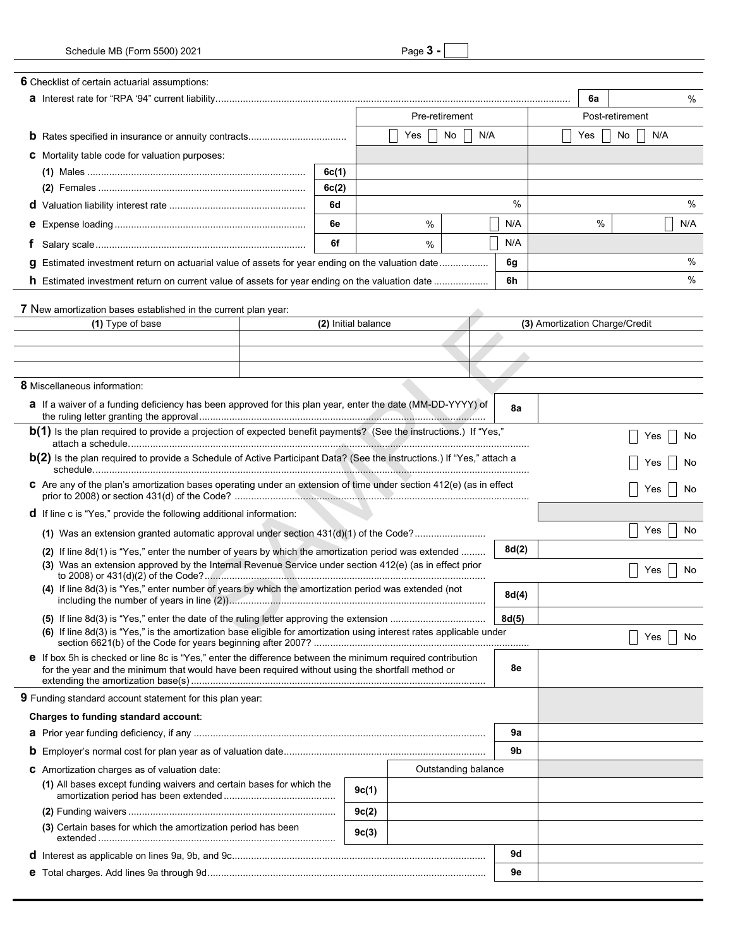| 6 Checklist of certain actuarial assumptions:                                                                                                                                                                  |                                                                                                               |                     |                |  |  |       |                  |                                |     |      |  |  |
|----------------------------------------------------------------------------------------------------------------------------------------------------------------------------------------------------------------|---------------------------------------------------------------------------------------------------------------|---------------------|----------------|--|--|-------|------------------|--------------------------------|-----|------|--|--|
|                                                                                                                                                                                                                |                                                                                                               |                     |                |  |  |       |                  | 6a                             |     | $\%$ |  |  |
|                                                                                                                                                                                                                |                                                                                                               |                     | Pre-retirement |  |  |       |                  | Post-retirement                |     |      |  |  |
|                                                                                                                                                                                                                |                                                                                                               | No<br>N/A<br>Yes    |                |  |  |       | No<br>N/A<br>Yes |                                |     |      |  |  |
| <b>C</b> Mortality table code for valuation purposes:                                                                                                                                                          |                                                                                                               |                     |                |  |  |       |                  |                                |     |      |  |  |
|                                                                                                                                                                                                                | 6c(1)                                                                                                         |                     |                |  |  |       |                  |                                |     |      |  |  |
|                                                                                                                                                                                                                | 6c(2)                                                                                                         |                     |                |  |  |       |                  |                                |     |      |  |  |
|                                                                                                                                                                                                                | 6d                                                                                                            |                     |                |  |  | %     |                  |                                |     | %    |  |  |
|                                                                                                                                                                                                                | 6e                                                                                                            |                     | %              |  |  | N/A   |                  | %                              |     | N/A  |  |  |
| Ť.                                                                                                                                                                                                             | 6f                                                                                                            |                     | %              |  |  | N/A   |                  |                                |     |      |  |  |
| Estimated investment return on actuarial value of assets for year ending on the valuation date                                                                                                                 |                                                                                                               |                     |                |  |  | 6g    |                  |                                |     | %    |  |  |
| a                                                                                                                                                                                                              |                                                                                                               |                     |                |  |  |       |                  |                                |     | %    |  |  |
| <b>h</b> Estimated investment return on current value of assets for year ending on the valuation date                                                                                                          |                                                                                                               |                     |                |  |  | 6h    |                  |                                |     |      |  |  |
| 7 New amortization bases established in the current plan year:                                                                                                                                                 |                                                                                                               |                     |                |  |  |       |                  |                                |     |      |  |  |
| (1) Type of base                                                                                                                                                                                               |                                                                                                               | (2) Initial balance |                |  |  |       |                  | (3) Amortization Charge/Credit |     |      |  |  |
|                                                                                                                                                                                                                |                                                                                                               |                     |                |  |  |       |                  |                                |     |      |  |  |
|                                                                                                                                                                                                                |                                                                                                               |                     |                |  |  |       |                  |                                |     |      |  |  |
|                                                                                                                                                                                                                |                                                                                                               |                     |                |  |  |       |                  |                                |     |      |  |  |
| <b>8</b> Miscellaneous information:                                                                                                                                                                            |                                                                                                               |                     |                |  |  |       |                  |                                |     |      |  |  |
| a If a waiver of a funding deficiency has been approved for this plan year, enter the date (MM-DD-YYYY) of                                                                                                     |                                                                                                               |                     |                |  |  | 8а    |                  |                                |     |      |  |  |
| <b>b(1)</b> Is the plan required to provide a projection of expected benefit payments? (See the instructions.) If "Yes,"                                                                                       |                                                                                                               |                     |                |  |  |       |                  |                                | Yes | No   |  |  |
| <b>b(2)</b> Is the plan required to provide a Schedule of Active Participant Data? (See the instructions.) If "Yes," attach a                                                                                  |                                                                                                               |                     |                |  |  |       |                  |                                | Yes |      |  |  |
| C Are any of the plan's amortization bases operating under an extension of time under section 412(e) (as in effect                                                                                             |                                                                                                               |                     |                |  |  |       |                  |                                | Yes | No   |  |  |
| <b>d</b> If line c is "Yes," provide the following additional information:                                                                                                                                     |                                                                                                               |                     |                |  |  |       |                  |                                |     |      |  |  |
| (1) Was an extension granted automatic approval under section 431(d)(1) of the Code?                                                                                                                           |                                                                                                               |                     |                |  |  |       |                  |                                | Yes | No   |  |  |
| (2) If line 8d(1) is "Yes," enter the number of years by which the amortization period was extended                                                                                                            |                                                                                                               |                     |                |  |  | 8d(2) |                  |                                |     |      |  |  |
| (3) Was an extension approved by the Internal Revenue Service under section 412(e) (as in effect prior                                                                                                         |                                                                                                               |                     |                |  |  |       |                  |                                | Yes | No   |  |  |
|                                                                                                                                                                                                                | (4) If line 8d(3) is "Yes," enter number of years by which the amortization period was extended (not<br>8d(4) |                     |                |  |  |       |                  |                                |     |      |  |  |
|                                                                                                                                                                                                                | 8d(5)                                                                                                         |                     |                |  |  |       |                  |                                |     |      |  |  |
| (6) If line 8d(3) is "Yes," is the amortization base eligible for amortization using interest rates applicable under                                                                                           |                                                                                                               |                     |                |  |  |       |                  |                                | Yes | No   |  |  |
| e If box 5h is checked or line 8c is "Yes," enter the difference between the minimum required contribution<br>for the year and the minimum that would have been required without using the shortfall method or |                                                                                                               |                     |                |  |  | 8e    |                  |                                |     |      |  |  |
|                                                                                                                                                                                                                |                                                                                                               |                     |                |  |  |       |                  |                                |     |      |  |  |
| <b>9</b> Funding standard account statement for this plan year:                                                                                                                                                |                                                                                                               |                     |                |  |  |       |                  |                                |     |      |  |  |
| Charges to funding standard account:                                                                                                                                                                           |                                                                                                               |                     |                |  |  |       |                  |                                |     |      |  |  |
|                                                                                                                                                                                                                |                                                                                                               |                     |                |  |  | 9a    |                  |                                |     |      |  |  |
|                                                                                                                                                                                                                |                                                                                                               |                     |                |  |  | 9b    |                  |                                |     |      |  |  |
| <b>C</b> Amortization charges as of valuation date:                                                                                                                                                            | Outstanding balance                                                                                           |                     |                |  |  |       |                  |                                |     |      |  |  |
| (1) All bases except funding waivers and certain bases for which the                                                                                                                                           |                                                                                                               | 9c(1)               |                |  |  |       |                  |                                |     |      |  |  |
|                                                                                                                                                                                                                |                                                                                                               | 9c(2)               |                |  |  |       |                  |                                |     |      |  |  |
| (3) Certain bases for which the amortization period has been                                                                                                                                                   |                                                                                                               | 9c(3)               |                |  |  |       |                  |                                |     |      |  |  |
|                                                                                                                                                                                                                |                                                                                                               |                     |                |  |  | 9d    |                  |                                |     |      |  |  |
|                                                                                                                                                                                                                |                                                                                                               |                     |                |  |  | 9e    |                  |                                |     |      |  |  |